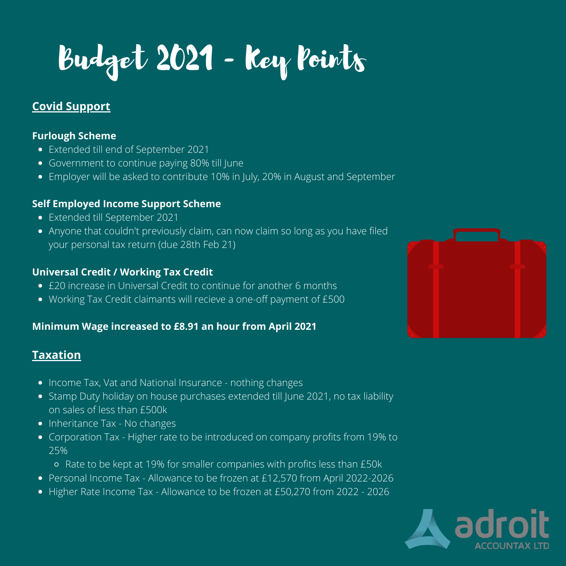Budget 2021 - Key Points

# **Covid Support**

#### **Furlough Scheme**

- Extended till end of September 2021
- Government to continue paying 80% till June
- Employer will be asked to contribute 10% in July, 20% in August and September

### **Self Employed Income Support Scheme**

- Extended till September 2021
- Anyone that couldn't previously claim, can now claim so long as you have filed your personal tax return (due 28th Feb 21)

### **Universal Credit / Working Tax Credit**

- £20 increase in Universal Credit to continue for another 6 months
- Working Tax Credit claimants will recieve a one-off payment of £500

## **Minimum Wage increased to £8.91 an hour from April 2021**

## **Taxation**

- Income Tax, Vat and National Insurance nothing changes
- Stamp Duty holiday on house purchases extended till June 2021, no tax liability on sales of less than £500k
- Inheritance Tax No changes
- Corporation Tax Higher rate to be introduced on company profits from 19% to 25%
	- Rate to be kept at 19% for smaller companies with profits less than £50k
- Personal Income Tax Allowance to be frozen at £12,570 from April 2022-2026
- Higher Rate Income Tax Allowance to be frozen at £50,270 from 2022 2026